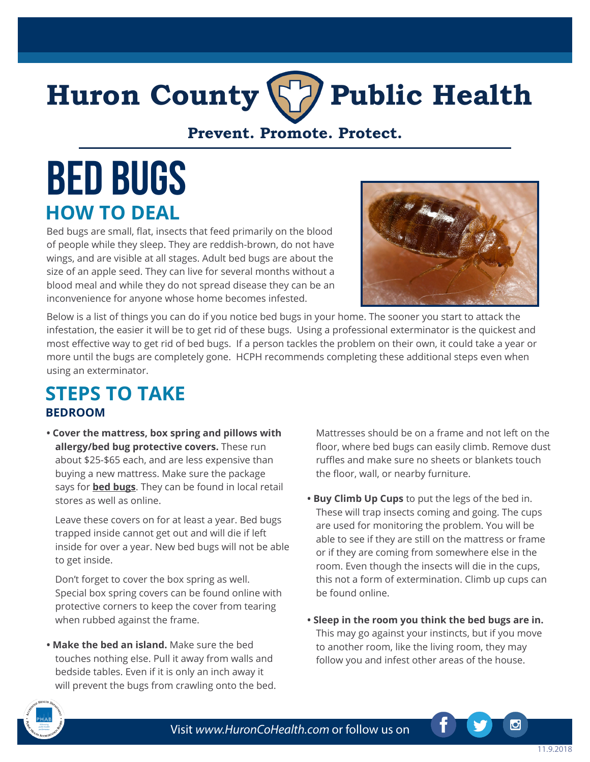## **Huron County Public Health**

**Prevent. Promote. Protect.**

# **Bed Bugs HOW TO DEAL**

Bed bugs are small, flat, insects that feed primarily on the blood of people while they sleep. They are reddish-brown, do not have wings, and are visible at all stages. Adult bed bugs are about the size of an apple seed. They can live for several months without a blood meal and while they do not spread disease they can be an inconvenience for anyone whose home becomes infested.



Below is a list of things you can do if you notice bed bugs in your home. The sooner you start to attack the infestation, the easier it will be to get rid of these bugs. Using a professional exterminator is the quickest and most effective way to get rid of bed bugs. If a person tackles the problem on their own, it could take a year or more until the bugs are completely gone. HCPH recommends completing these additional steps even when using an exterminator.

#### **STEPS TO TAKE BEDROOM**

**• Cover the mattress, box spring and pillows with allergy/bed bug protective covers.** These run about \$25-\$65 each, and are less expensive than buying a new mattress. Make sure the package says for **bed bugs**. They can be found in local retail stores as well as online.

Leave these covers on for at least a year. Bed bugs trapped inside cannot get out and will die if left inside for over a year. New bed bugs will not be able to get inside.

Don't forget to cover the box spring as well. Special box spring covers can be found online with protective corners to keep the cover from tearing when rubbed against the frame.

**• Make the bed an island.** Make sure the bed touches nothing else. Pull it away from walls and bedside tables. Even if it is only an inch away it will prevent the bugs from crawling onto the bed.

Mattresses should be on a frame and not left on the floor, where bed bugs can easily climb. Remove dust ruffles and make sure no sheets or blankets touch the floor, wall, or nearby furniture.

- **Buy Climb Up Cups** to put the legs of the bed in. These will trap insects coming and going. The cups are used for monitoring the problem. You will be able to see if they are still on the mattress or frame or if they are coming from somewhere else in the room. Even though the insects will die in the cups, this not a form of extermination. Climb up cups can be found online.
- **Sleep in the room you think the bed bugs are in.**  This may go against your instincts, but if you move to another room, like the living room, they may follow you and infest other areas of the house.